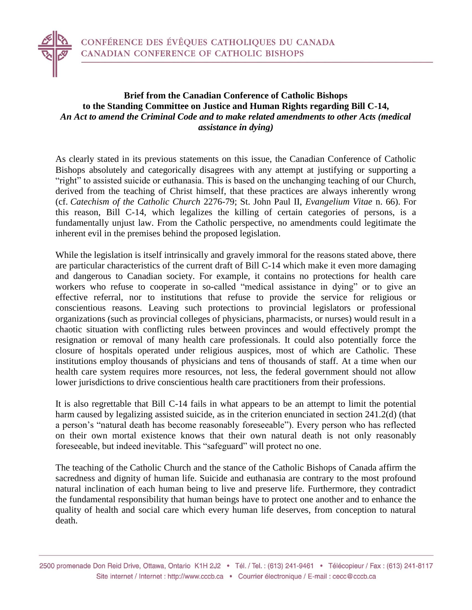

## **Brief from the Canadian Conference of Catholic Bishops to the Standing Committee on Justice and Human Rights regarding Bill C-14,**  *An Act to amend the Criminal Code and to make related amendments to other Acts (medical assistance in dying)*

As clearly stated in its previous statements on this issue, the Canadian Conference of Catholic Bishops absolutely and categorically disagrees with any attempt at justifying or supporting a "right" to assisted suicide or euthanasia. This is based on the unchanging teaching of our Church, derived from the teaching of Christ himself, that these practices are always inherently wrong (cf. *Catechism of the Catholic Church* 2276-79; St. John Paul II, *Evangelium Vitae* n. 66). For this reason, Bill C-14, which legalizes the killing of certain categories of persons, is a fundamentally unjust law. From the Catholic perspective, no amendments could legitimate the inherent evil in the premises behind the proposed legislation.

While the legislation is itself intrinsically and gravely immoral for the reasons stated above, there are particular characteristics of the current draft of Bill C-14 which make it even more damaging and dangerous to Canadian society. For example, it contains no protections for health care workers who refuse to cooperate in so-called "medical assistance in dying" or to give an effective referral, nor to institutions that refuse to provide the service for religious or conscientious reasons. Leaving such protections to provincial legislators or professional organizations (such as provincial colleges of physicians, pharmacists, or nurses) would result in a chaotic situation with conflicting rules between provinces and would effectively prompt the resignation or removal of many health care professionals. It could also potentially force the closure of hospitals operated under religious auspices, most of which are Catholic. These institutions employ thousands of physicians and tens of thousands of staff. At a time when our health care system requires more resources, not less, the federal government should not allow lower jurisdictions to drive conscientious health care practitioners from their professions.

It is also regrettable that Bill C-14 fails in what appears to be an attempt to limit the potential harm caused by legalizing assisted suicide, as in the criterion enunciated in section 241.2(d) (that a person's "natural death has become reasonably foreseeable"). Every person who has reflected on their own mortal existence knows that their own natural death is not only reasonably foreseeable, but indeed inevitable. This "safeguard" will protect no one.

The teaching of the Catholic Church and the stance of the Catholic Bishops of Canada affirm the sacredness and dignity of human life. Suicide and euthanasia are contrary to the most profound natural inclination of each human being to live and preserve life. Furthermore, they contradict the fundamental responsibility that human beings have to protect one another and to enhance the quality of health and social care which every human life deserves, from conception to natural death.

<sup>2500</sup> promenade Don Reid Drive, Ottawa, Ontario K1H 2J2 · Tél. / Tel.: (613) 241-9461 · Télécopieur / Fax: (613) 241-8117 Site internet / Internet : http://www.cccb.ca · Courrier électronique / E-mail : cecc@cccb.ca